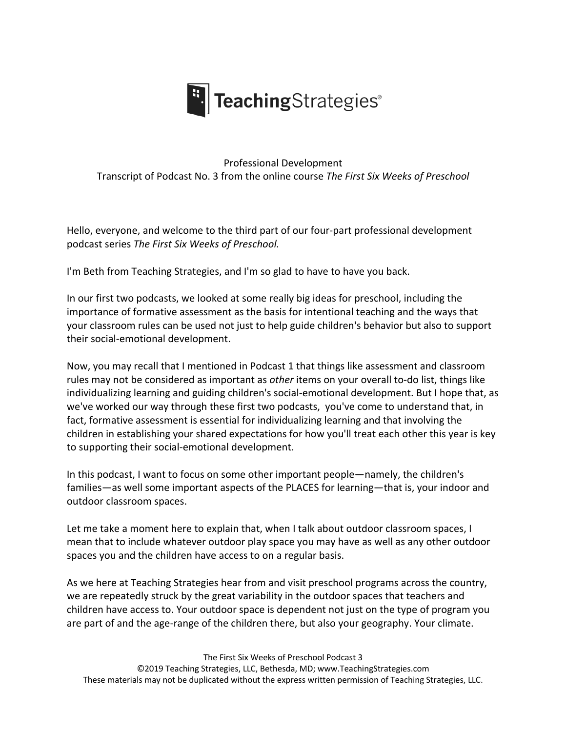

## Professional Development Transcript of Podcast No. 3 from the online course *The First Six Weeks of Preschool*

Hello, everyone, and welcome to the third part of our four-part professional development podcast series *The First Six Weeks of Preschool.*

I'm Beth from Teaching Strategies, and I'm so glad to have to have you back.

In our first two podcasts, we looked at some really big ideas for preschool, including the importance of formative assessment as the basis for intentional teaching and the ways that your classroom rules can be used not just to help guide children's behavior but also to support their social-emotional development.

Now, you may recall that I mentioned in Podcast 1 that things like assessment and classroom rules may not be considered as important as *other* items on your overall to-do list, things like individualizing learning and guiding children's social-emotional development. But I hope that, as we've worked our way through these first two podcasts, you've come to understand that, in fact, formative assessment is essential for individualizing learning and that involving the children in establishing your shared expectations for how you'll treat each other this year is key to supporting their social-emotional development.

In this podcast, I want to focus on some other important people—namely, the children's families—as well some important aspects of the PLACES for learning—that is, your indoor and outdoor classroom spaces.

Let me take a moment here to explain that, when I talk about outdoor classroom spaces, I mean that to include whatever outdoor play space you may have as well as any other outdoor spaces you and the children have access to on a regular basis.

As we here at Teaching Strategies hear from and visit preschool programs across the country, we are repeatedly struck by the great variability in the outdoor spaces that teachers and children have access to. Your outdoor space is dependent not just on the type of program you are part of and the age-range of the children there, but also your geography. Your climate.

The First Six Weeks of Preschool Podcast 3

©2019 Teaching Strategies, LLC, Bethesda, MD; www.TeachingStrategies.com These materials may not be duplicated without the express written permission of Teaching Strategies, LLC.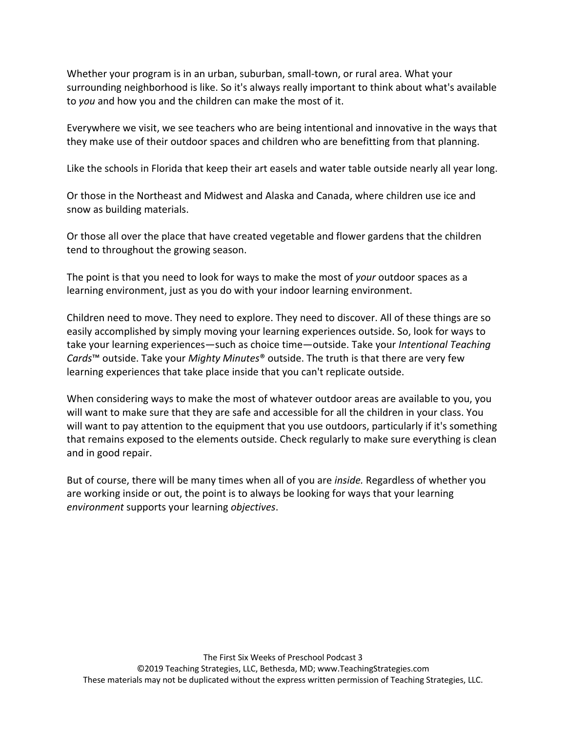Whether your program is in an urban, suburban, small-town, or rural area. What your surrounding neighborhood is like. So it's always really important to think about what's available to *you* and how you and the children can make the most of it.

Everywhere we visit, we see teachers who are being intentional and innovative in the ways that they make use of their outdoor spaces and children who are benefitting from that planning.

Like the schools in Florida that keep their art easels and water table outside nearly all year long.

Or those in the Northeast and Midwest and Alaska and Canada, where children use ice and snow as building materials.

Or those all over the place that have created vegetable and flower gardens that the children tend to throughout the growing season.

The point is that you need to look for ways to make the most of *your* outdoor spaces as a learning environment, just as you do with your indoor learning environment.

Children need to move. They need to explore. They need to discover. All of these things are so easily accomplished by simply moving your learning experiences outside. So, look for ways to take your learning experiences—such as choice time—outside. Take your *Intentional Teaching Cards*™ outside. Take your *Mighty Minutes*® outside. The truth is that there are very few learning experiences that take place inside that you can't replicate outside.

When considering ways to make the most of whatever outdoor areas are available to you, you will want to make sure that they are safe and accessible for all the children in your class. You will want to pay attention to the equipment that you use outdoors, particularly if it's something that remains exposed to the elements outside. Check regularly to make sure everything is clean and in good repair.

But of course, there will be many times when all of you are *inside.* Regardless of whether you are working inside or out, the point is to always be looking for ways that your learning *environment* supports your learning *objectives*.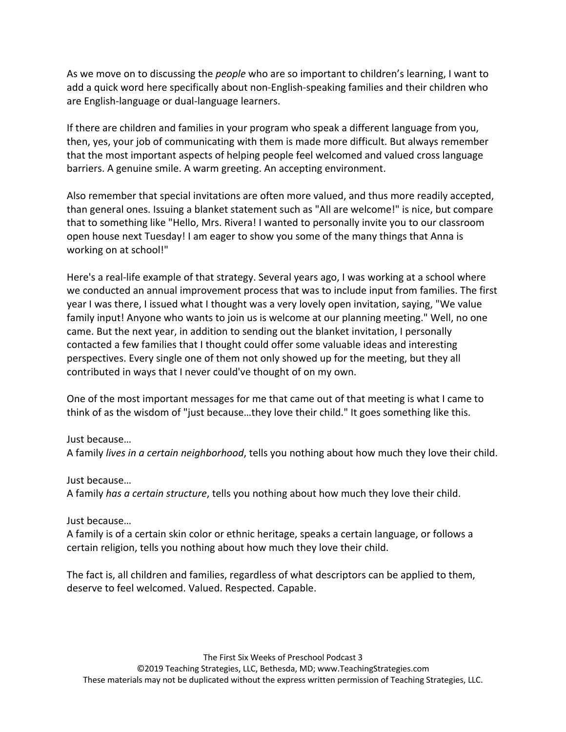As we move on to discussing the *people* who are so important to children's learning, I want to add a quick word here specifically about non-English-speaking families and their children who are English-language or dual-language learners.

If there are children and families in your program who speak a different language from you, then, yes, your job of communicating with them is made more difficult. But always remember that the most important aspects of helping people feel welcomed and valued cross language barriers. A genuine smile. A warm greeting. An accepting environment.

Also remember that special invitations are often more valued, and thus more readily accepted, than general ones. Issuing a blanket statement such as "All are welcome!" is nice, but compare that to something like "Hello, Mrs. Rivera! I wanted to personally invite you to our classroom open house next Tuesday! I am eager to show you some of the many things that Anna is working on at school!"

Here's a real-life example of that strategy. Several years ago, I was working at a school where we conducted an annual improvement process that was to include input from families. The first year I was there, I issued what I thought was a very lovely open invitation, saying, "We value family input! Anyone who wants to join us is welcome at our planning meeting." Well, no one came. But the next year, in addition to sending out the blanket invitation, I personally contacted a few families that I thought could offer some valuable ideas and interesting perspectives. Every single one of them not only showed up for the meeting, but they all contributed in ways that I never could've thought of on my own.

One of the most important messages for me that came out of that meeting is what I came to think of as the wisdom of "just because…they love their child." It goes something like this.

## Just because…

A family *lives in a certain neighborhood*, tells you nothing about how much they love their child.

Just because…

A family *has a certain structure*, tells you nothing about how much they love their child.

Just because…

A family is of a certain skin color or ethnic heritage, speaks a certain language, or follows a certain religion, tells you nothing about how much they love their child.

The fact is, all children and families, regardless of what descriptors can be applied to them, deserve to feel welcomed. Valued. Respected. Capable.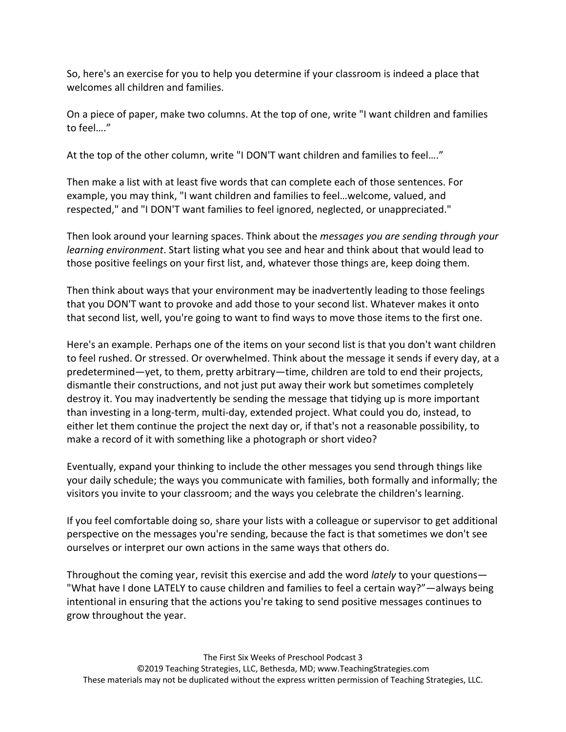So, here's an exercise for you to help you determine if your classroom is indeed a place that welcomes all children and families.

On a piece of paper, make two columns. At the top of one, write "I want children and families to feel…."

At the top of the other column, write "I DON'T want children and families to feel…."

Then make a list with at least five words that can complete each of those sentences. For example, you may think, "I want children and families to feel…welcome, valued, and respected," and "I DON'T want families to feel ignored, neglected, or unappreciated."

Then look around your learning spaces. Think about the *messages you are sending through your learning environment*. Start listing what you see and hear and think about that would lead to those positive feelings on your first list, and, whatever those things are, keep doing them.

Then think about ways that your environment may be inadvertently leading to those feelings that you DON'T want to provoke and add those to your second list. Whatever makes it onto that second list, well, you're going to want to find ways to move those items to the first one.

Here's an example. Perhaps one of the items on your second list is that you don't want children to feel rushed. Or stressed. Or overwhelmed. Think about the message it sends if every day, at a predetermined—yet, to them, pretty arbitrary—time, children are told to end their projects, dismantle their constructions, and not just put away their work but sometimes completely destroy it. You may inadvertently be sending the message that tidying up is more important than investing in a long-term, multi-day, extended project. What could you do, instead, to either let them continue the project the next day or, if that's not a reasonable possibility, to make a record of it with something like a photograph or short video?

Eventually, expand your thinking to include the other messages you send through things like your daily schedule; the ways you communicate with families, both formally and informally; the visitors you invite to your classroom; and the ways you celebrate the children's learning.

If you feel comfortable doing so, share your lists with a colleague or supervisor to get additional perspective on the messages you're sending, because the fact is that sometimes we don't see ourselves or interpret our own actions in the same ways that others do.

Throughout the coming year, revisit this exercise and add the word *lately* to your questions— "What have I done LATELY to cause children and families to feel a certain way?"—always being intentional in ensuring that the actions you're taking to send positive messages continues to grow throughout the year.